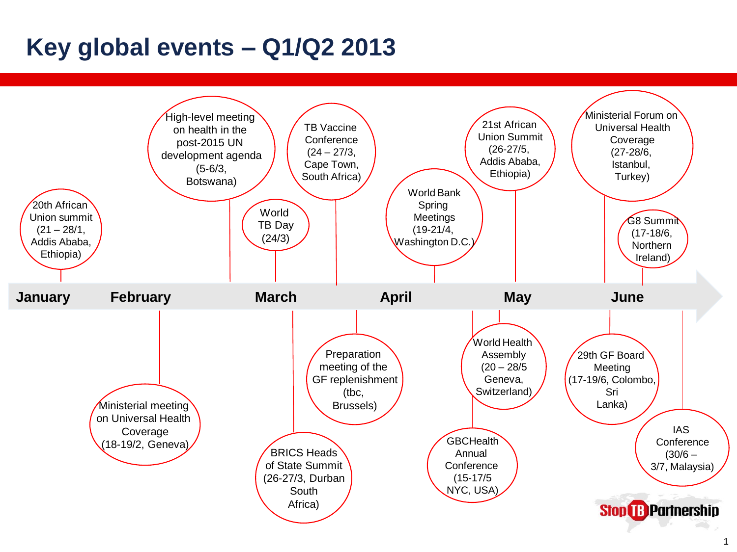## **Key global events – Q1/Q2 2013**